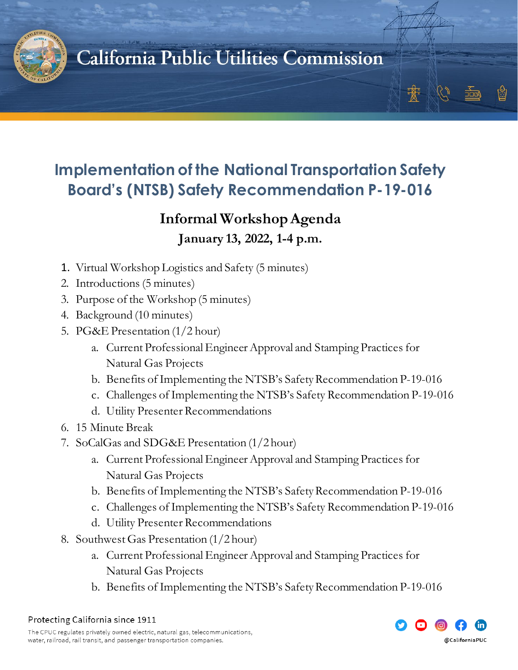

## California Public Utilities Commission

#### **Implementation of the National Transportation Safety Board's (NTSB) Safety Recommendation P-19-016**

## **Informal Workshop Agenda**

#### **January 13, 2022, 1-4 p.m.**

- 1. Virtual Workshop Logistics and Safety (5 minutes)
- 2. Introductions (5 minutes)
- 3. Purpose of the Workshop (5 minutes)
- 4. Background (10 minutes)
- 5. PG&E Presentation (1/2 hour)
	- a. Current Professional Engineer Approval and Stamping Practices for Natural Gas Projects
	- b. Benefits of Implementing the NTSB's Safety Recommendation P-19-016
	- c. Challenges of Implementing the NTSB's Safety Recommendation P-19-016
	- d. Utility Presenter Recommendations
- 6. 15 Minute Break
- 7. SoCalGas and SDG&E Presentation (1/2 hour)
	- a. Current Professional Engineer Approval and Stamping Practices for Natural Gas Projects
	- b. Benefits of Implementing the NTSB's Safety Recommendation P-19-016
	- c. Challenges of Implementing the NTSB's Safety Recommendation P-19-016
	- d. Utility Presenter Recommendations
- 8. Southwest Gas Presentation (1/2 hour)
	- a. Current Professional Engineer Approval and Stamping Practices for Natural Gas Projects
	- b. Benefits of Implementing the NTSB's Safety Recommendation P-19-016





豫